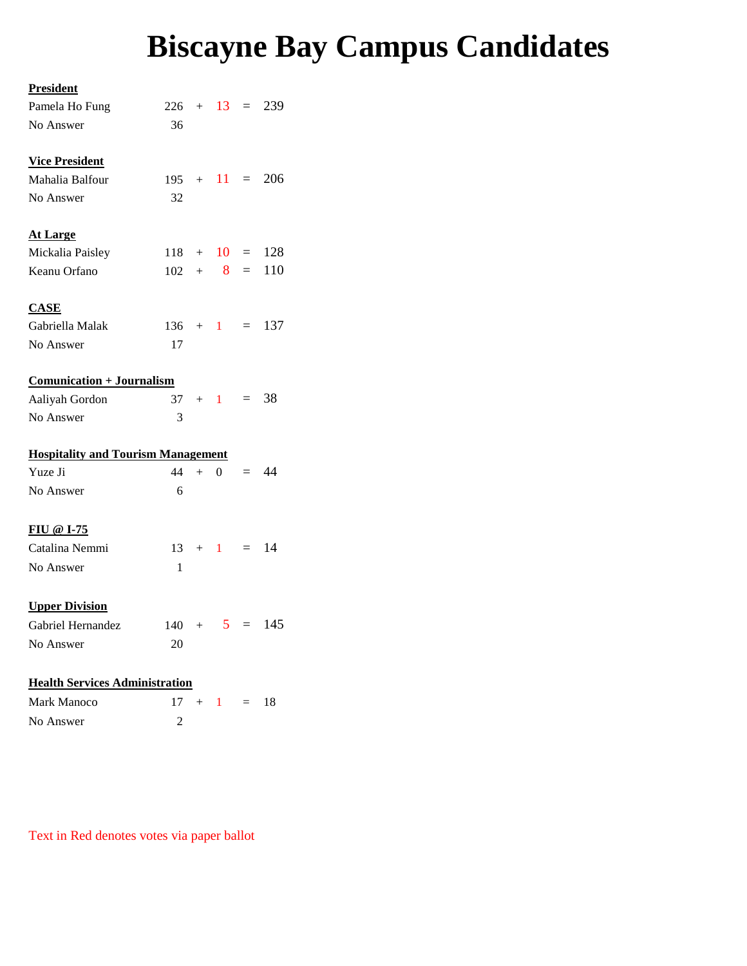## **Biscayne Bay Campus Candidates**

## <u>Pr</u>

| <b>President</b>                                    |              |     |                |          |      |  |  |  |  |  |  |  |
|-----------------------------------------------------|--------------|-----|----------------|----------|------|--|--|--|--|--|--|--|
| Pamela Ho Fung                                      | $226 + 13 =$ |     |                |          | 239  |  |  |  |  |  |  |  |
| No Answer                                           | 36           |     |                |          |      |  |  |  |  |  |  |  |
|                                                     |              |     |                |          |      |  |  |  |  |  |  |  |
| <b>Vice President</b>                               |              |     |                |          |      |  |  |  |  |  |  |  |
| Mahalia Balfour                                     |              |     | $195 + 11 =$   |          | 206  |  |  |  |  |  |  |  |
| No Answer                                           | 32           |     |                |          |      |  |  |  |  |  |  |  |
|                                                     |              |     |                |          |      |  |  |  |  |  |  |  |
| <b>At Large</b>                                     |              |     |                |          |      |  |  |  |  |  |  |  |
| Mickalia Paisley                                    |              |     | $118 + 10 =$   |          | 128  |  |  |  |  |  |  |  |
| Keanu Orfano                                        |              |     | $102 + 8$      | $=$      | 110  |  |  |  |  |  |  |  |
|                                                     |              |     |                |          |      |  |  |  |  |  |  |  |
| <b>CASE</b><br>Gabriella Malak                      |              |     |                |          |      |  |  |  |  |  |  |  |
|                                                     |              |     | $136 + 1 =$    |          | 137  |  |  |  |  |  |  |  |
| No Answer                                           | 17           |     |                |          |      |  |  |  |  |  |  |  |
| Comunication + Journalism                           |              |     |                |          |      |  |  |  |  |  |  |  |
| Aaliyah Gordon                                      | 37           |     | $+$ 1 =        |          | 38   |  |  |  |  |  |  |  |
| No Answer                                           | 3            |     |                |          |      |  |  |  |  |  |  |  |
|                                                     |              |     |                |          |      |  |  |  |  |  |  |  |
| <b>Hospitality and Tourism Management</b>           |              |     |                |          |      |  |  |  |  |  |  |  |
| Yuze Ji                                             | 44           | $+$ | $\Omega$       | $=$      | - 44 |  |  |  |  |  |  |  |
| No Answer                                           | 6            |     |                |          |      |  |  |  |  |  |  |  |
|                                                     |              |     |                |          |      |  |  |  |  |  |  |  |
| FIU @ I-75                                          |              |     |                |          |      |  |  |  |  |  |  |  |
| Catalina Nemmi                                      |              |     | $13 + 1 = 14$  |          |      |  |  |  |  |  |  |  |
| No Answer                                           | 1            |     |                |          |      |  |  |  |  |  |  |  |
|                                                     |              |     |                |          |      |  |  |  |  |  |  |  |
| <b>Upper Division</b>                               |              |     |                |          |      |  |  |  |  |  |  |  |
| Gabriel Hernandez                                   | 140          |     | 5 <sub>1</sub> | $\equiv$ | 145  |  |  |  |  |  |  |  |
| No Answer                                           | 20           |     |                |          |      |  |  |  |  |  |  |  |
|                                                     |              |     |                |          |      |  |  |  |  |  |  |  |
| <b>Health Services Administration</b><br>$17 + 1 =$ |              |     |                |          |      |  |  |  |  |  |  |  |
| Mark Manoco                                         |              |     |                |          | 18   |  |  |  |  |  |  |  |
| No Answer                                           | 2            |     |                |          |      |  |  |  |  |  |  |  |

Text in Red denotes votes via paper ballot